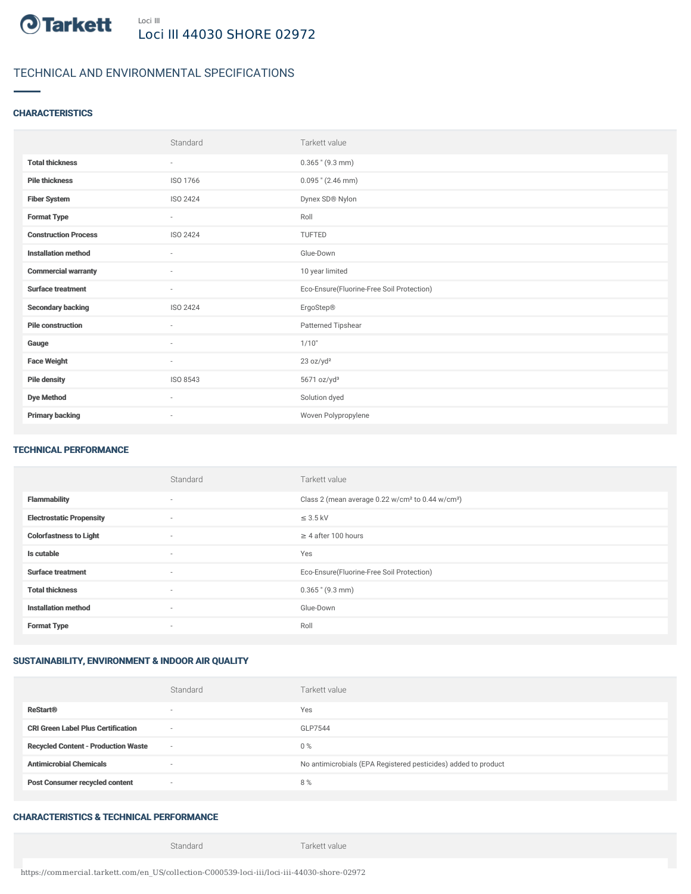

# TECHNICAL AND ENVIRONMENTAL SPECIFICATIONS

### **CHARACTERISTICS**

|                             | Standard                 | Tarkett value                             |
|-----------------------------|--------------------------|-------------------------------------------|
| <b>Total thickness</b>      | ٠                        | $0.365$ " (9.3 mm)                        |
| <b>Pile thickness</b>       | ISO 1766                 | $0.095$ " (2.46 mm)                       |
| <b>Fiber System</b>         | <b>ISO 2424</b>          | Dynex SD® Nylon                           |
| <b>Format Type</b>          | $\overline{\phantom{a}}$ | Roll                                      |
| <b>Construction Process</b> | ISO 2424                 | <b>TUFTED</b>                             |
| <b>Installation method</b>  | $\sim$                   | Glue-Down                                 |
| <b>Commercial warranty</b>  | $\sim$                   | 10 year limited                           |
| <b>Surface treatment</b>    | $\overline{\phantom{a}}$ | Eco-Ensure(Fluorine-Free Soil Protection) |
| <b>Secondary backing</b>    | ISO 2424                 | ErgoStep®                                 |
| <b>Pile construction</b>    | $\sim$                   | Patterned Tipshear                        |
| Gauge                       | $\sim$                   | 1/10"                                     |
| <b>Face Weight</b>          | $\sim$                   | 23 oz/yd <sup>2</sup>                     |
| <b>Pile density</b>         | ISO 8543                 | 5671 oz/yd <sup>3</sup>                   |
| <b>Dye Method</b>           | $\sim$                   | Solution dyed                             |
| <b>Primary backing</b>      | $\overline{\phantom{a}}$ | Woven Polypropylene                       |

#### TECHNICAL PERFORMANCE

|                                 | Standard                 | Tarkett value                                                            |
|---------------------------------|--------------------------|--------------------------------------------------------------------------|
| <b>Flammability</b>             | $\sim$                   | Class 2 (mean average 0.22 w/cm <sup>2</sup> to 0.44 w/cm <sup>2</sup> ) |
| <b>Electrostatic Propensity</b> | $\sim$                   | $\leq$ 3.5 kV                                                            |
| <b>Colorfastness to Light</b>   | $\sim$                   | $\geq$ 4 after 100 hours                                                 |
| Is cutable                      | $\sim$                   | Yes                                                                      |
| <b>Surface treatment</b>        | $\sim$                   | Eco-Ensure(Fluorine-Free Soil Protection)                                |
| <b>Total thickness</b>          | $\sim$                   | $0.365$ " (9.3 mm)                                                       |
| <b>Installation method</b>      | $\sim$                   | Glue-Down                                                                |
| <b>Format Type</b>              | $\overline{\phantom{a}}$ | Roll                                                                     |

### SUSTAINABILITY, ENVIRONMENT & INDOOR AIR QUALITY

|                                            | Standard                 | Tarkett value                                                  |
|--------------------------------------------|--------------------------|----------------------------------------------------------------|
| <b>ReStart®</b>                            | $\overline{\phantom{a}}$ | Yes                                                            |
| <b>CRI Green Label Plus Certification</b>  | $\sim$                   | GLP7544                                                        |
| <b>Recycled Content - Production Waste</b> | $\sim$                   | $0\%$                                                          |
| <b>Antimicrobial Chemicals</b>             |                          | No antimicrobials (EPA Registered pesticides) added to product |
| <b>Post Consumer recycled content</b>      | $\sim$                   | 8%                                                             |

## CHARACTERISTICS & TECHNICAL PERFORMANCE

Standard Tarkett value